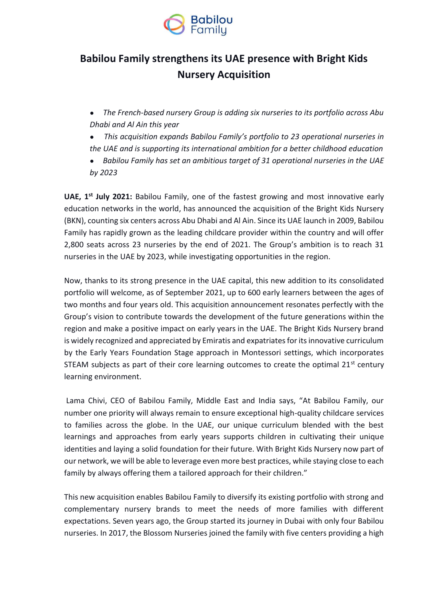

# **Babilou Family strengthens its UAE presence with Bright Kids Nursery Acquisition**

- *The French-based nursery Group is adding six nurseries to its portfolio across Abu Dhabi and Al Ain this year*
- *This acquisition expands Babilou Family's portfolio to 23 operational nurseries in*
- *the UAE and is supporting its international ambition for a better childhood education*
- *Babilou Family has set an ambitious target of 31 operational nurseries in the UAE by 2023*

**UAE, 1 st July 2021:** Babilou Family, one of the fastest growing and most innovative early education networks in the world, has announced the acquisition of the Bright Kids Nursery (BKN), counting six centers across Abu Dhabi and Al Ain. Since its UAE launch in 2009, Babilou Family has rapidly grown as the leading childcare provider within the country and will offer 2,800 seats across 23 nurseries by the end of 2021. The Group's ambition is to reach 31 nurseries in the UAE by 2023, while investigating opportunities in the region.

Now, thanks to its strong presence in the UAE capital, this new addition to its consolidated portfolio will welcome, as of September 2021, up to 600 early learners between the ages of two months and four years old. This acquisition announcement resonates perfectly with the Group's vision to contribute towards the development of the future generations within the region and make a positive impact on early years in the UAE. The Bright Kids Nursery brand is widely recognized and appreciated by Emiratis and expatriates for its innovative curriculum by the Early Years Foundation Stage approach in Montessori settings, which incorporates STEAM subjects as part of their core learning outcomes to create the optimal  $21<sup>st</sup>$  century learning environment.

Lama Chivi, CEO of Babilou Family, Middle East and India says, "At Babilou Family, our number one priority will always remain to ensure exceptional high-quality childcare services to families across the globe. In the UAE, our unique curriculum blended with the best learnings and approaches from early years supports children in cultivating their unique identities and laying a solid foundation for their future. With Bright Kids Nursery now part of our network, we will be able to leverage even more best practices, while staying close to each family by always offering them a tailored approach for their children."

This new acquisition enables Babilou Family to diversify its existing portfolio with strong and complementary nursery brands to meet the needs of more families with different expectations. Seven years ago, the Group started its journey in Dubai with only four Babilou nurseries. In 2017, the Blossom Nurseries joined the family with five centers providing a high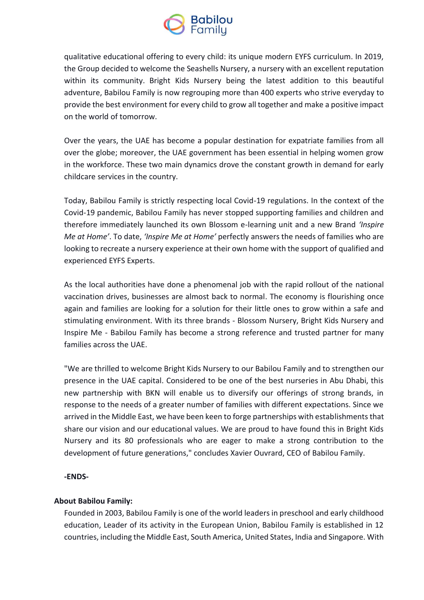

qualitative educational offering to every child: its unique modern EYFS curriculum. In 2019, the Group decided to welcome the Seashells Nursery, a nursery with an excellent reputation within its community. Bright Kids Nursery being the latest addition to this beautiful adventure, Babilou Family is now regrouping more than 400 experts who strive everyday to provide the best environment for every child to grow all together and make a positive impact on the world of tomorrow.

Over the years, the UAE has become a popular destination for expatriate families from all over the globe; moreover, the UAE government has been essential in helping women grow in the workforce. These two main dynamics drove the constant growth in demand for early childcare services in the country.

Today, Babilou Family is strictly respecting local Covid-19 regulations. In the context of the Covid-19 pandemic, Babilou Family has never stopped supporting families and children and therefore immediately launched its own Blossom e-learning unit and a new Brand *'Inspire Me at Home'*. To date, *'Inspire Me at Home'* perfectly answers the needs of families who are looking to recreate a nursery experience at their own home with the support of qualified and experienced EYFS Experts.

As the local authorities have done a phenomenal job with the rapid rollout of the national vaccination drives, businesses are almost back to normal. The economy is flourishing once again and families are looking for a solution for their little ones to grow within a safe and stimulating environment. With its three brands - Blossom Nursery, Bright Kids Nursery and Inspire Me - Babilou Family has become a strong reference and trusted partner for many families across the UAE.

"We are thrilled to welcome Bright Kids Nursery to our Babilou Family and to strengthen our presence in the UAE capital. Considered to be one of the best nurseries in Abu Dhabi, this new partnership with BKN will enable us to diversify our offerings of strong brands, in response to the needs of a greater number of families with different expectations. Since we arrived in the Middle East, we have been keen to forge partnerships with establishments that share our vision and our educational values. We are proud to have found this in Bright Kids Nursery and its 80 professionals who are eager to make a strong contribution to the development of future generations," concludes Xavier Ouvrard, CEO of Babilou Family.

# **-ENDS-**

# **About Babilou Family:**

Founded in 2003, Babilou Family is one of the world leaders in preschool and early childhood education, Leader of its activity in the European Union, Babilou Family is established in 12 countries, including the Middle East, South America, United States, India and Singapore. With